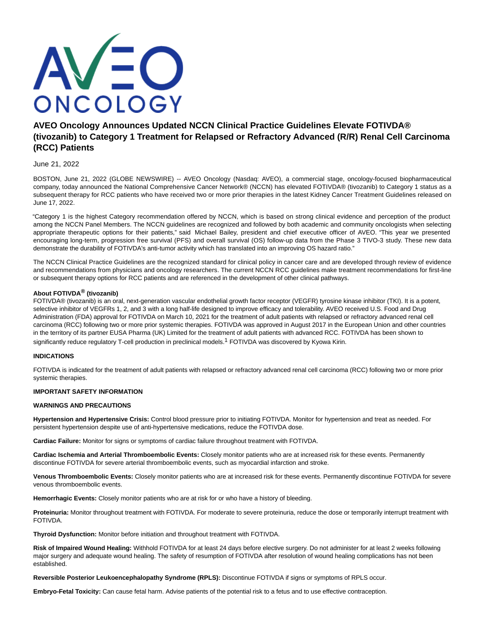

# **AVEO Oncology Announces Updated NCCN Clinical Practice Guidelines Elevate FOTIVDA® (tivozanib) to Category 1 Treatment for Relapsed or Refractory Advanced (R/R) Renal Cell Carcinoma (RCC) Patients**

# June 21, 2022

BOSTON, June 21, 2022 (GLOBE NEWSWIRE) -- AVEO Oncology (Nasdaq: AVEO), a commercial stage, oncology-focused biopharmaceutical company, today announced the National Comprehensive Cancer Network® (NCCN) has elevated FOTIVDA® (tivozanib) to Category 1 status as a subsequent therapy for RCC patients who have received two or more prior therapies in the latest Kidney Cancer Treatment Guidelines released on June 17, 2022.

"Category 1 is the highest Category recommendation offered by NCCN, which is based on strong clinical evidence and perception of the product among the NCCN Panel Members. The NCCN guidelines are recognized and followed by both academic and community oncologists when selecting appropriate therapeutic options for their patients," said Michael Bailey, president and chief executive officer of AVEO. "This year we presented encouraging long-term, progression free survival (PFS) and overall survival (OS) follow-up data from the Phase 3 TIVO-3 study. These new data demonstrate the durability of FOTIVDA's anti-tumor activity which has translated into an improving OS hazard ratio."

The NCCN Clinical Practice Guidelines are the recognized standard for clinical policy in cancer care and are developed through review of evidence and recommendations from physicians and oncology researchers. The current NCCN RCC guidelines make treatment recommendations for first-line or subsequent therapy options for RCC patients and are referenced in the development of other clinical pathways.

# **About FOTIVDA® (tivozanib)**

FOTIVDA® (tivozanib) is an oral, next-generation vascular endothelial growth factor receptor (VEGFR) tyrosine kinase inhibitor (TKI). It is a potent, selective inhibitor of VEGFRs 1, 2, and 3 with a long half-life designed to improve efficacy and tolerability. AVEO received U.S. Food and Drug Administration (FDA) approval for FOTIVDA on March 10, 2021 for the treatment of adult patients with relapsed or refractory advanced renal cell carcinoma (RCC) following two or more prior systemic therapies. FOTIVDA was approved in August 2017 in the European Union and other countries in the territory of its partner EUSA Pharma (UK) Limited for the treatment of adult patients with advanced RCC. FOTIVDA has been shown to significantly reduce regulatory T-cell production in preclinical models.<sup>1</sup> FOTIVDA was discovered by Kyowa Kirin.

## **INDICATIONS**

FOTIVDA is indicated for the treatment of adult patients with relapsed or refractory advanced renal cell carcinoma (RCC) following two or more prior systemic therapies.

## **IMPORTANT SAFETY INFORMATION**

## **WARNINGS AND PRECAUTIONS**

**Hypertension and Hypertensive Crisis:** Control blood pressure prior to initiating FOTIVDA. Monitor for hypertension and treat as needed. For persistent hypertension despite use of anti-hypertensive medications, reduce the FOTIVDA dose.

**Cardiac Failure:** Monitor for signs or symptoms of cardiac failure throughout treatment with FOTIVDA.

**Cardiac Ischemia and Arterial Thromboembolic Events:** Closely monitor patients who are at increased risk for these events. Permanently discontinue FOTIVDA for severe arterial thromboembolic events, such as myocardial infarction and stroke.

**Venous Thromboembolic Events:** Closely monitor patients who are at increased risk for these events. Permanently discontinue FOTIVDA for severe venous thromboembolic events.

**Hemorrhagic Events:** Closely monitor patients who are at risk for or who have a history of bleeding.

**Proteinuria:** Monitor throughout treatment with FOTIVDA. For moderate to severe proteinuria, reduce the dose or temporarily interrupt treatment with FOTIVDA.

**Thyroid Dysfunction:** Monitor before initiation and throughout treatment with FOTIVDA.

**Risk of Impaired Wound Healing:** Withhold FOTIVDA for at least 24 days before elective surgery. Do not administer for at least 2 weeks following major surgery and adequate wound healing. The safety of resumption of FOTIVDA after resolution of wound healing complications has not been established.

**Reversible Posterior Leukoencephalopathy Syndrome (RPLS):** Discontinue FOTIVDA if signs or symptoms of RPLS occur.

**Embryo-Fetal Toxicity:** Can cause fetal harm. Advise patients of the potential risk to a fetus and to use effective contraception.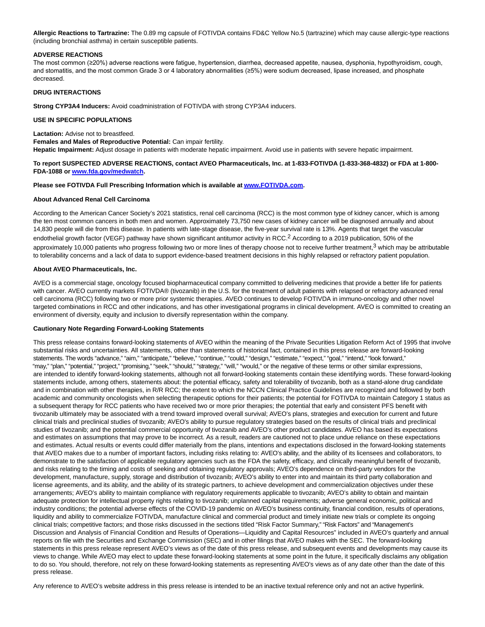**Allergic Reactions to Tartrazine:** The 0.89 mg capsule of FOTIVDA contains FD&C Yellow No.5 (tartrazine) which may cause allergic-type reactions (including bronchial asthma) in certain susceptible patients.

#### **ADVERSE REACTIONS**

The most common (≥20%) adverse reactions were fatigue, hypertension, diarrhea, decreased appetite, nausea, dysphonia, hypothyroidism, cough, and stomatitis, and the most common Grade 3 or 4 laboratory abnormalities (≥5%) were sodium decreased, lipase increased, and phosphate decreased.

#### **DRUG INTERACTIONS**

**Strong CYP3A4 Inducers:** Avoid coadministration of FOTIVDA with strong CYP3A4 inducers.

## **USE IN SPECIFIC POPULATIONS**

**Lactation:** Advise not to breastfeed.

**Females and Males of Reproductive Potential:** Can impair fertility. **Hepatic Impairment:** Adjust dosage in patients with moderate hepatic impairment. Avoid use in patients with severe hepatic impairment.

## **To report SUSPECTED ADVERSE REACTIONS, contact AVEO Pharmaceuticals, Inc. at 1-833-FOTIVDA (1-833-368-4832) or FDA at 1-800- FDA-1088 or [www.fda.gov/medwatch.](http://www.fda.gov/medwatch)**

#### **Please see FOTIVDA Full Prescribing Information which is available a[t www.FOTIVDA.com.](https://www.globenewswire.com/Tracker?data=Tjtq2ksK2xi4cDnvTAI9-nL6XCyxphhwF9gYLV8kZKeYlKHMa9BnKPGlL3Y0BrDut6cI7n2X0_R7EMlowdmdwA==)**

#### **About Advanced Renal Cell Carcinoma**

According to the American Cancer Society's 2021 statistics, renal cell carcinoma (RCC) is the most common type of kidney cancer, which is among the ten most common cancers in both men and women. Approximately 73,750 new cases of kidney cancer will be diagnosed annually and about 14,830 people will die from this disease. In patients with late-stage disease, the five-year survival rate is 13%. Agents that target the vascular endothelial growth factor (VEGF) pathway have shown significant antitumor activity in RCC.<sup>2</sup> According to a 2019 publication, 50% of the approximately 10,000 patients who progress following two or more lines of therapy choose not to receive further treatment,<sup>3</sup> which may be attributable to tolerability concerns and a lack of data to support evidence-based treatment decisions in this highly relapsed or refractory patient population.

#### **About AVEO Pharmaceuticals, Inc.**

AVEO is a commercial stage, oncology focused biopharmaceutical company committed to delivering medicines that provide a better life for patients with cancer. AVEO currently markets FOTIVDA® (tivozanib) in the U.S. for the treatment of adult patients with relapsed or refractory advanced renal cell carcinoma (RCC) following two or more prior systemic therapies. AVEO continues to develop FOTIVDA in immuno-oncology and other novel targeted combinations in RCC and other indications, and has other investigational programs in clinical development. AVEO is committed to creating an environment of diversity, equity and inclusion to diversify representation within the company.

#### **Cautionary Note Regarding Forward-Looking Statements**

This press release contains forward-looking statements of AVEO within the meaning of the Private Securities Litigation Reform Act of 1995 that involve substantial risks and uncertainties. All statements, other than statements of historical fact, contained in this press release are forward-looking statements. The words "advance," "aim," "anticipate," "believe," "continue," "could," "design," "estimate," "expect," "goal," "intend," "look forward," "may," "plan," "potential," "project," "promising," "seek," "should," "strategy," "will," "would," or the negative of these terms or other similar expressions, are intended to identify forward-looking statements, although not all forward-looking statements contain these identifying words. These forward-looking statements include, among others, statements about: the potential efficacy, safety and tolerability of tivozanib, both as a stand-alone drug candidate and in combination with other therapies, in R/R RCC; the extent to which the NCCN Clinical Practice Guidelines are recognized and followed by both academic and community oncologists when selecting therapeutic options for their patients; the potential for FOTIVDA to maintain Category 1 status as a subsequent therapy for RCC patients who have received two or more prior therapies; the potential that early and consistent PFS benefit with tivozanib ultimately may be associated with a trend toward improved overall survival; AVEO's plans, strategies and execution for current and future clinical trials and preclinical studies of tivozanib; AVEO's ability to pursue regulatory strategies based on the results of clinical trials and preclinical studies of tivozanib; and the potential commercial opportunity of tivozanib and AVEO's other product candidates. AVEO has based its expectations and estimates on assumptions that may prove to be incorrect. As a result, readers are cautioned not to place undue reliance on these expectations and estimates. Actual results or events could differ materially from the plans, intentions and expectations disclosed in the forward-looking statements that AVEO makes due to a number of important factors, including risks relating to: AVEO's ability, and the ability of its licensees and collaborators, to demonstrate to the satisfaction of applicable regulatory agencies such as the FDA the safety, efficacy, and clinically meaningful benefit of tivozanib, and risks relating to the timing and costs of seeking and obtaining regulatory approvals; AVEO's dependence on third-party vendors for the development, manufacture, supply, storage and distribution of tivozanib; AVEO's ability to enter into and maintain its third party collaboration and license agreements, and its ability, and the ability of its strategic partners, to achieve development and commercialization objectives under these arrangements; AVEO's ability to maintain compliance with regulatory requirements applicable to tivozanib; AVEO's ability to obtain and maintain adequate protection for intellectual property rights relating to tivozanib; unplanned capital requirements; adverse general economic, political and industry conditions; the potential adverse effects of the COVID-19 pandemic on AVEO's business continuity, financial condition, results of operations, liquidity and ability to commercialize FOTIVDA, manufacture clinical and commercial product and timely initiate new trials or complete its ongoing clinical trials; competitive factors; and those risks discussed in the sections titled "Risk Factor Summary," "Risk Factors" and "Management's Discussion and Analysis of Financial Condition and Results of Operations—Liquidity and Capital Resources" included in AVEO's quarterly and annual reports on file with the Securities and Exchange Commission (SEC) and in other filings that AVEO makes with the SEC. The forward-looking statements in this press release represent AVEO's views as of the date of this press release, and subsequent events and developments may cause its views to change. While AVEO may elect to update these forward-looking statements at some point in the future, it specifically disclaims any obligation to do so. You should, therefore, not rely on these forward-looking statements as representing AVEO's views as of any date other than the date of this press release.

Any reference to AVEO's website address in this press release is intended to be an inactive textual reference only and not an active hyperlink.